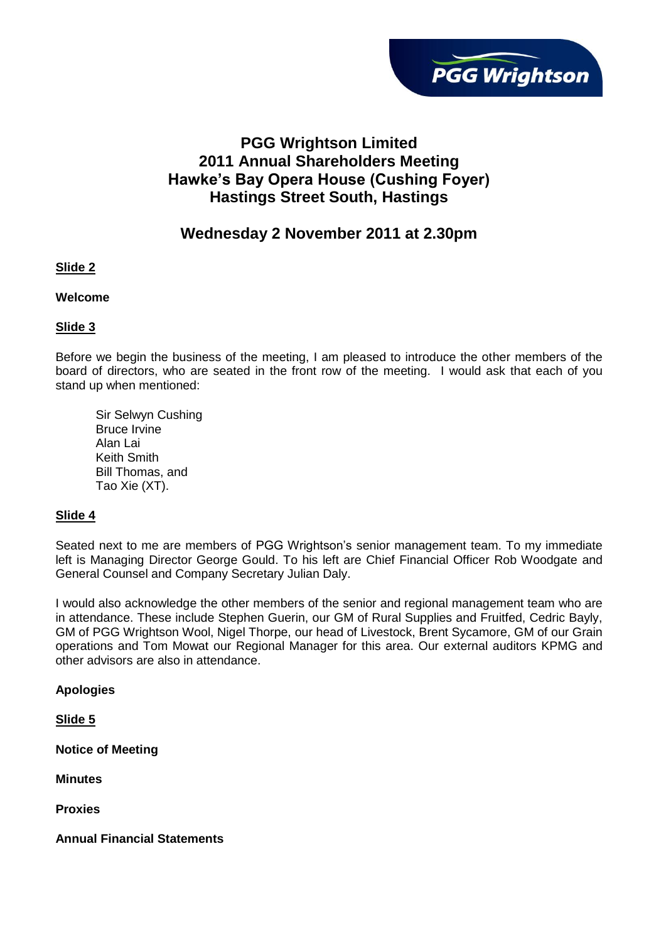

# **PGG Wrightson Limited 2011 Annual Shareholders Meeting Hawke's Bay Opera House (Cushing Foyer) Hastings Street South, Hastings**

# **Wednesday 2 November 2011 at 2.30pm**

**Slide 2** 

**Welcome** 

#### **Slide 3**

Before we begin the business of the meeting, I am pleased to introduce the other members of the board of directors, who are seated in the front row of the meeting. I would ask that each of you stand up when mentioned:

Sir Selwyn Cushing Bruce Irvine Alan Lai Keith Smith Bill Thomas, and Tao Xie (XT).

### **Slide 4**

Seated next to me are members of PGG Wrightson"s senior management team. To my immediate left is Managing Director George Gould. To his left are Chief Financial Officer Rob Woodgate and General Counsel and Company Secretary Julian Daly.

I would also acknowledge the other members of the senior and regional management team who are in attendance. These include Stephen Guerin, our GM of Rural Supplies and Fruitfed, Cedric Bayly, GM of PGG Wrightson Wool, Nigel Thorpe, our head of Livestock, Brent Sycamore, GM of our Grain operations and Tom Mowat our Regional Manager for this area. Our external auditors KPMG and other advisors are also in attendance.

**Apologies**

**Slide 5**

**Notice of Meeting**

**Minutes**

**Proxies**

**Annual Financial Statements**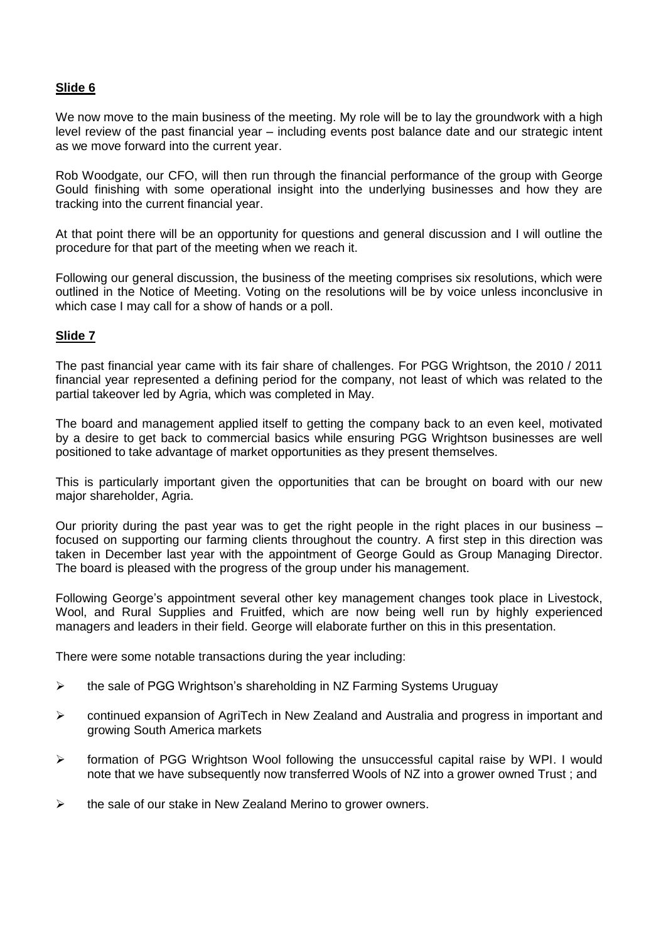### **Slide 6**

We now move to the main business of the meeting. My role will be to lay the groundwork with a high level review of the past financial year – including events post balance date and our strategic intent as we move forward into the current year.

Rob Woodgate, our CFO, will then run through the financial performance of the group with George Gould finishing with some operational insight into the underlying businesses and how they are tracking into the current financial year.

At that point there will be an opportunity for questions and general discussion and I will outline the procedure for that part of the meeting when we reach it.

Following our general discussion, the business of the meeting comprises six resolutions, which were outlined in the Notice of Meeting. Voting on the resolutions will be by voice unless inconclusive in which case I may call for a show of hands or a poll.

### **Slide 7**

The past financial year came with its fair share of challenges. For PGG Wrightson, the 2010 / 2011 financial year represented a defining period for the company, not least of which was related to the partial takeover led by Agria, which was completed in May.

The board and management applied itself to getting the company back to an even keel, motivated by a desire to get back to commercial basics while ensuring PGG Wrightson businesses are well positioned to take advantage of market opportunities as they present themselves.

This is particularly important given the opportunities that can be brought on board with our new major shareholder, Agria.

Our priority during the past year was to get the right people in the right places in our business – focused on supporting our farming clients throughout the country. A first step in this direction was taken in December last year with the appointment of George Gould as Group Managing Director. The board is pleased with the progress of the group under his management.

Following George"s appointment several other key management changes took place in Livestock, Wool, and Rural Supplies and Fruitfed, which are now being well run by highly experienced managers and leaders in their field. George will elaborate further on this in this presentation.

There were some notable transactions during the year including:

- $\triangleright$  the sale of PGG Wrightson's shareholding in NZ Farming Systems Uruguay
- continued expansion of AgriTech in New Zealand and Australia and progress in important and growing South America markets
- $\triangleright$  formation of PGG Wrightson Wool following the unsuccessful capital raise by WPI. I would note that we have subsequently now transferred Wools of NZ into a grower owned Trust ; and
- $\triangleright$  the sale of our stake in New Zealand Merino to grower owners.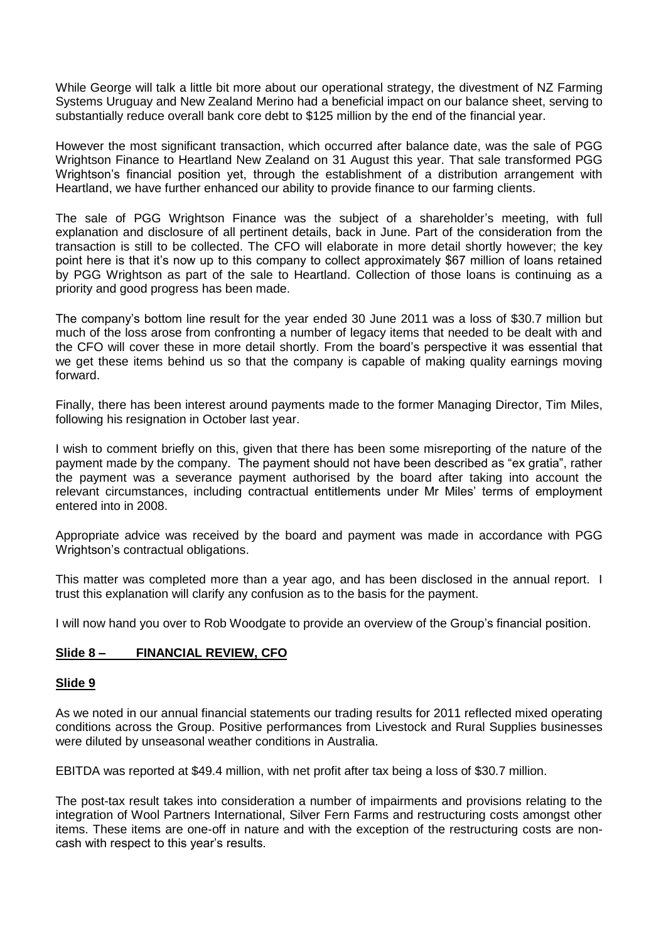While George will talk a little bit more about our operational strategy, the divestment of NZ Farming Systems Uruguay and New Zealand Merino had a beneficial impact on our balance sheet, serving to substantially reduce overall bank core debt to \$125 million by the end of the financial year.

However the most significant transaction, which occurred after balance date, was the sale of PGG Wrightson Finance to Heartland New Zealand on 31 August this year. That sale transformed PGG Wrightson"s financial position yet, through the establishment of a distribution arrangement with Heartland, we have further enhanced our ability to provide finance to our farming clients.

The sale of PGG Wrightson Finance was the subject of a shareholder"s meeting, with full explanation and disclosure of all pertinent details, back in June. Part of the consideration from the transaction is still to be collected. The CFO will elaborate in more detail shortly however; the key point here is that it"s now up to this company to collect approximately \$67 million of loans retained by PGG Wrightson as part of the sale to Heartland. Collection of those loans is continuing as a priority and good progress has been made.

The company"s bottom line result for the year ended 30 June 2011 was a loss of \$30.7 million but much of the loss arose from confronting a number of legacy items that needed to be dealt with and the CFO will cover these in more detail shortly. From the board"s perspective it was essential that we get these items behind us so that the company is capable of making quality earnings moving forward.

Finally, there has been interest around payments made to the former Managing Director, Tim Miles, following his resignation in October last year.

I wish to comment briefly on this, given that there has been some misreporting of the nature of the payment made by the company. The payment should not have been described as "ex gratia", rather the payment was a severance payment authorised by the board after taking into account the relevant circumstances, including contractual entitlements under Mr Miles' terms of employment entered into in 2008.

Appropriate advice was received by the board and payment was made in accordance with PGG Wrightson"s contractual obligations.

This matter was completed more than a year ago, and has been disclosed in the annual report. I trust this explanation will clarify any confusion as to the basis for the payment.

I will now hand you over to Rob Woodgate to provide an overview of the Group"s financial position.

### **Slide 8 – FINANCIAL REVIEW, CFO**

#### **Slide 9**

As we noted in our annual financial statements our trading results for 2011 reflected mixed operating conditions across the Group. Positive performances from Livestock and Rural Supplies businesses were diluted by unseasonal weather conditions in Australia.

EBITDA was reported at \$49.4 million, with net profit after tax being a loss of \$30.7 million.

The post-tax result takes into consideration a number of impairments and provisions relating to the integration of Wool Partners International, Silver Fern Farms and restructuring costs amongst other items. These items are one-off in nature and with the exception of the restructuring costs are noncash with respect to this year"s results.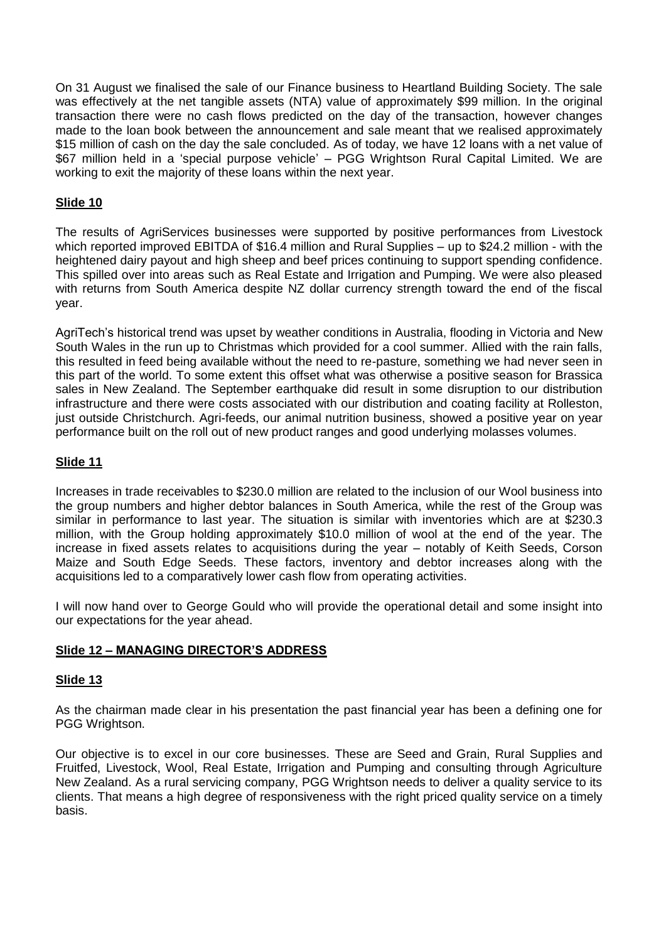On 31 August we finalised the sale of our Finance business to Heartland Building Society. The sale was effectively at the net tangible assets (NTA) value of approximately \$99 million. In the original transaction there were no cash flows predicted on the day of the transaction, however changes made to the loan book between the announcement and sale meant that we realised approximately \$15 million of cash on the day the sale concluded. As of today, we have 12 loans with a net value of \$67 million held in a 'special purpose vehicle' – PGG Wrightson Rural Capital Limited. We are working to exit the majority of these loans within the next year.

## **Slide 10**

The results of AgriServices businesses were supported by positive performances from Livestock which reported improved EBITDA of \$16.4 million and Rural Supplies – up to \$24.2 million - with the heightened dairy payout and high sheep and beef prices continuing to support spending confidence. This spilled over into areas such as Real Estate and Irrigation and Pumping. We were also pleased with returns from South America despite NZ dollar currency strength toward the end of the fiscal year.

AgriTech"s historical trend was upset by weather conditions in Australia, flooding in Victoria and New South Wales in the run up to Christmas which provided for a cool summer. Allied with the rain falls, this resulted in feed being available without the need to re-pasture, something we had never seen in this part of the world. To some extent this offset what was otherwise a positive season for Brassica sales in New Zealand. The September earthquake did result in some disruption to our distribution infrastructure and there were costs associated with our distribution and coating facility at Rolleston, just outside Christchurch. Agri-feeds, our animal nutrition business, showed a positive year on year performance built on the roll out of new product ranges and good underlying molasses volumes.

### **Slide 11**

Increases in trade receivables to \$230.0 million are related to the inclusion of our Wool business into the group numbers and higher debtor balances in South America, while the rest of the Group was similar in performance to last year. The situation is similar with inventories which are at \$230.3 million, with the Group holding approximately \$10.0 million of wool at the end of the year. The increase in fixed assets relates to acquisitions during the year – notably of Keith Seeds, Corson Maize and South Edge Seeds. These factors, inventory and debtor increases along with the acquisitions led to a comparatively lower cash flow from operating activities.

I will now hand over to George Gould who will provide the operational detail and some insight into our expectations for the year ahead.

### **Slide 12 – MANAGING DIRECTOR'S ADDRESS**

### **Slide 13**

As the chairman made clear in his presentation the past financial year has been a defining one for PGG Wrightson.

Our objective is to excel in our core businesses. These are Seed and Grain, Rural Supplies and Fruitfed, Livestock, Wool, Real Estate, Irrigation and Pumping and consulting through Agriculture New Zealand. As a rural servicing company, PGG Wrightson needs to deliver a quality service to its clients. That means a high degree of responsiveness with the right priced quality service on a timely basis.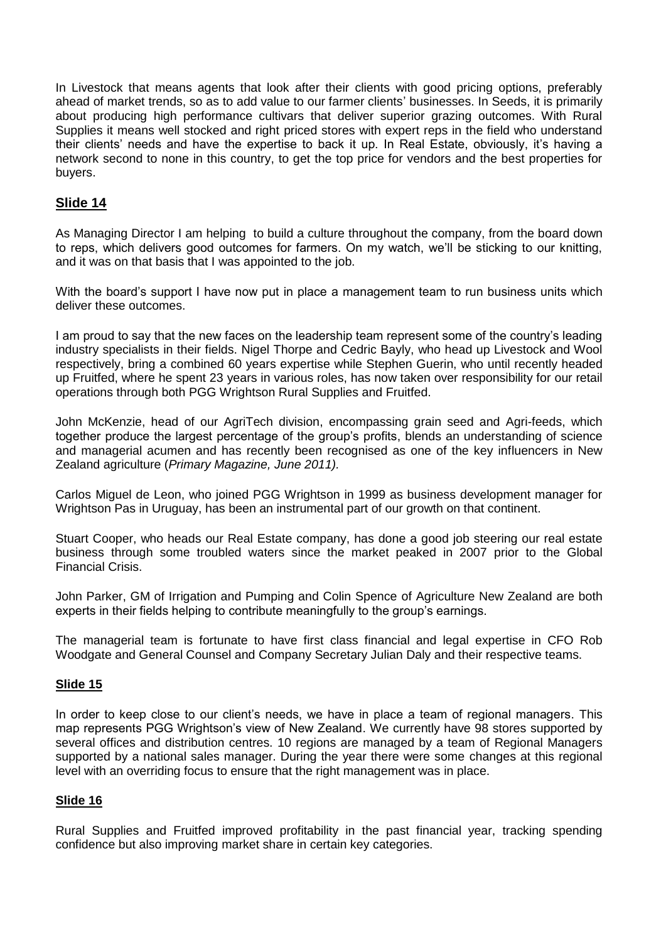In Livestock that means agents that look after their clients with good pricing options, preferably ahead of market trends, so as to add value to our farmer clients' businesses. In Seeds, it is primarily about producing high performance cultivars that deliver superior grazing outcomes. With Rural Supplies it means well stocked and right priced stores with expert reps in the field who understand their clients" needs and have the expertise to back it up. In Real Estate, obviously, it"s having a network second to none in this country, to get the top price for vendors and the best properties for buyers.

# **Slide 14**

As Managing Director I am helping to build a culture throughout the company, from the board down to reps, which delivers good outcomes for farmers. On my watch, we"ll be sticking to our knitting, and it was on that basis that I was appointed to the job.

With the board's support I have now put in place a management team to run business units which deliver these outcomes.

I am proud to say that the new faces on the leadership team represent some of the country"s leading industry specialists in their fields. Nigel Thorpe and Cedric Bayly, who head up Livestock and Wool respectively, bring a combined 60 years expertise while Stephen Guerin, who until recently headed up Fruitfed, where he spent 23 years in various roles, has now taken over responsibility for our retail operations through both PGG Wrightson Rural Supplies and Fruitfed.

John McKenzie, head of our AgriTech division, encompassing grain seed and Agri-feeds, which together produce the largest percentage of the group"s profits, blends an understanding of science and managerial acumen and has recently been recognised as one of the key influencers in New Zealand agriculture (*Primary Magazine, June 2011).* 

Carlos Miguel de Leon, who joined PGG Wrightson in 1999 as business development manager for Wrightson Pas in Uruguay, has been an instrumental part of our growth on that continent.

Stuart Cooper, who heads our Real Estate company, has done a good job steering our real estate business through some troubled waters since the market peaked in 2007 prior to the Global Financial Crisis.

John Parker, GM of Irrigation and Pumping and Colin Spence of Agriculture New Zealand are both experts in their fields helping to contribute meaningfully to the group's earnings.

The managerial team is fortunate to have first class financial and legal expertise in CFO Rob Woodgate and General Counsel and Company Secretary Julian Daly and their respective teams.

### **Slide 15**

In order to keep close to our client"s needs, we have in place a team of regional managers. This map represents PGG Wrightson"s view of New Zealand. We currently have 98 stores supported by several offices and distribution centres. 10 regions are managed by a team of Regional Managers supported by a national sales manager. During the year there were some changes at this regional level with an overriding focus to ensure that the right management was in place.

### **Slide 16**

Rural Supplies and Fruitfed improved profitability in the past financial year, tracking spending confidence but also improving market share in certain key categories.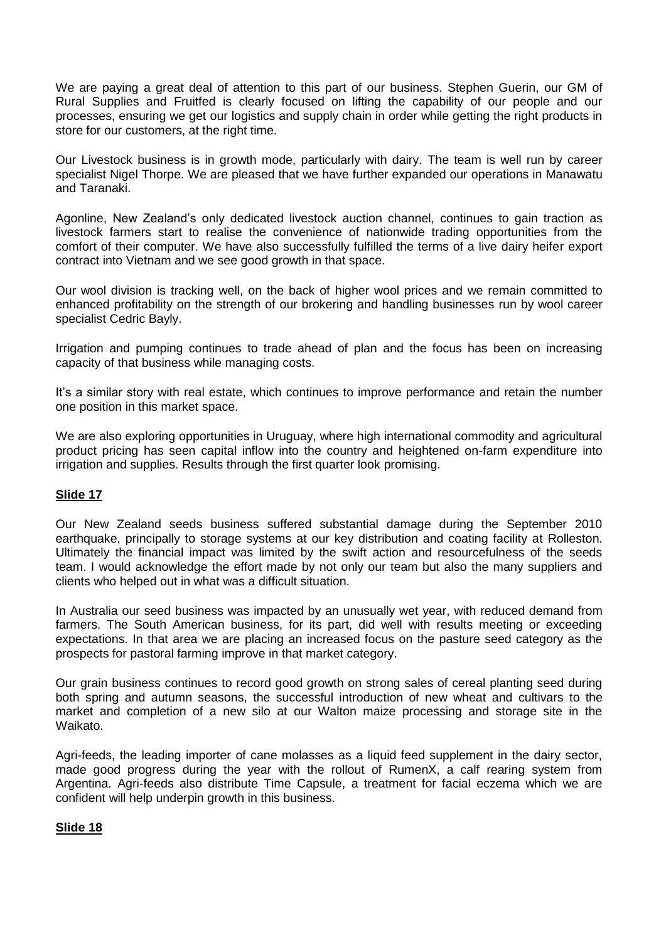We are paying a great deal of attention to this part of our business. Stephen Guerin, our GM of Rural Supplies and Fruitfed is clearly focused on lifting the capability of our people and our processes, ensuring we get our logistics and supply chain in order while getting the right products in store for our customers, at the right time.

Our Livestock business is in growth mode, particularly with dairy. The team is well run by career specialist Nigel Thorpe. We are pleased that we have further expanded our operations in Manawatu and Taranaki.

Agonline, New Zealand"s only dedicated livestock auction channel, continues to gain traction as livestock farmers start to realise the convenience of nationwide trading opportunities from the comfort of their computer. We have also successfully fulfilled the terms of a live dairy heifer export contract into Vietnam and we see good growth in that space.

Our wool division is tracking well, on the back of higher wool prices and we remain committed to enhanced profitability on the strength of our brokering and handling businesses run by wool career specialist Cedric Bayly.

Irrigation and pumping continues to trade ahead of plan and the focus has been on increasing capacity of that business while managing costs.

It"s a similar story with real estate, which continues to improve performance and retain the number one position in this market space.

We are also exploring opportunities in Uruguay, where high international commodity and agricultural product pricing has seen capital inflow into the country and heightened on-farm expenditure into irrigation and supplies. Results through the first quarter look promising.

### **Slide 17**

Our New Zealand seeds business suffered substantial damage during the September 2010 earthquake, principally to storage systems at our key distribution and coating facility at Rolleston. Ultimately the financial impact was limited by the swift action and resourcefulness of the seeds team. I would acknowledge the effort made by not only our team but also the many suppliers and clients who helped out in what was a difficult situation.

In Australia our seed business was impacted by an unusually wet year, with reduced demand from farmers. The South American business, for its part, did well with results meeting or exceeding expectations. In that area we are placing an increased focus on the pasture seed category as the prospects for pastoral farming improve in that market category.

Our grain business continues to record good growth on strong sales of cereal planting seed during both spring and autumn seasons, the successful introduction of new wheat and cultivars to the market and completion of a new silo at our Walton maize processing and storage site in the Waikato.

Agri-feeds, the leading importer of cane molasses as a liquid feed supplement in the dairy sector, made good progress during the year with the rollout of RumenX, a calf rearing system from Argentina. Agri-feeds also distribute Time Capsule, a treatment for facial eczema which we are confident will help underpin growth in this business.

### **Slide 18**